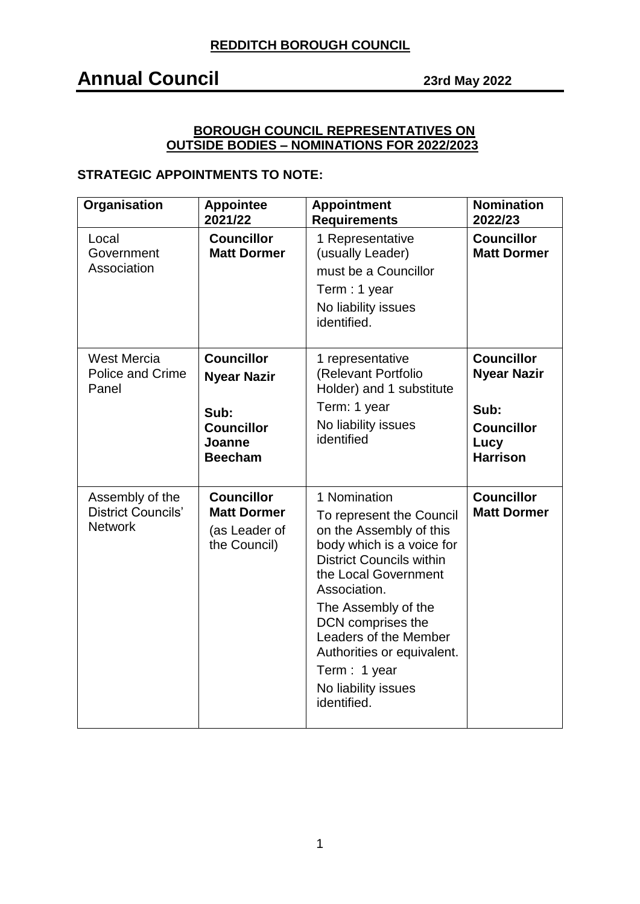## **Annual Council 23rd May <sup>2022</sup>**

### **BOROUGH COUNCIL REPRESENTATIVES ON OUTSIDE BODIES – NOMINATIONS FOR 2022/2023**

### **STRATEGIC APPOINTMENTS TO NOTE:**

| Organisation                                                   | <b>Appointee</b><br>2021/22                                                                      | <b>Appointment</b><br><b>Requirements</b>                                                                                                                                                                                                                                                                                            | <b>Nomination</b><br>2022/23                                                                    |
|----------------------------------------------------------------|--------------------------------------------------------------------------------------------------|--------------------------------------------------------------------------------------------------------------------------------------------------------------------------------------------------------------------------------------------------------------------------------------------------------------------------------------|-------------------------------------------------------------------------------------------------|
| Local<br>Government<br>Association                             | <b>Councillor</b><br><b>Matt Dormer</b>                                                          | 1 Representative<br>(usually Leader)<br>must be a Councillor<br>Term : 1 year<br>No liability issues<br>identified.                                                                                                                                                                                                                  | <b>Councillor</b><br><b>Matt Dormer</b>                                                         |
| <b>West Mercia</b><br><b>Police and Crime</b><br>Panel         | <b>Councillor</b><br><b>Nyear Nazir</b><br>Sub:<br><b>Councillor</b><br>Joanne<br><b>Beecham</b> | 1 representative<br>(Relevant Portfolio<br>Holder) and 1 substitute<br>Term: 1 year<br>No liability issues<br>identified                                                                                                                                                                                                             | <b>Councillor</b><br><b>Nyear Nazir</b><br>Sub:<br><b>Councillor</b><br>Lucy<br><b>Harrison</b> |
| Assembly of the<br><b>District Councils'</b><br><b>Network</b> | <b>Councillor</b><br><b>Matt Dormer</b><br>(as Leader of<br>the Council)                         | 1 Nomination<br>To represent the Council<br>on the Assembly of this<br>body which is a voice for<br><b>District Councils within</b><br>the Local Government<br>Association.<br>The Assembly of the<br>DCN comprises the<br>Leaders of the Member<br>Authorities or equivalent.<br>Term: 1 year<br>No liability issues<br>identified. | <b>Councillor</b><br><b>Matt Dormer</b>                                                         |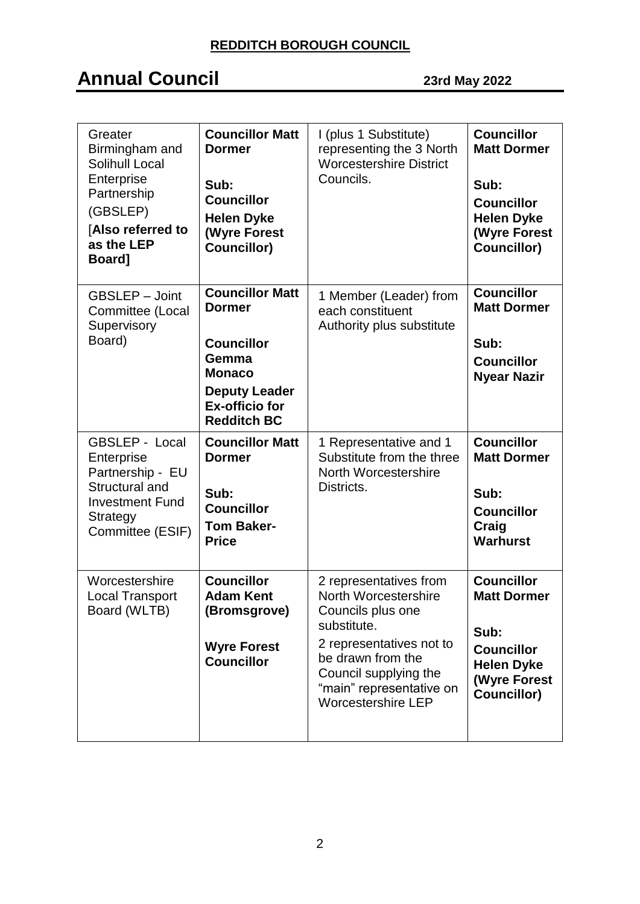| Greater<br>Birmingham and<br>Solihull Local<br>Enterprise<br>Partnership<br>(GBSLEP)<br>[Also referred to<br>as the LEP<br>Board]          | <b>Councillor Matt</b><br><b>Dormer</b><br>Sub:<br><b>Councillor</b><br><b>Helen Dyke</b><br><b>(Wyre Forest</b><br><b>Councillor)</b>                        | I (plus 1 Substitute)<br>representing the 3 North<br><b>Worcestershire District</b><br>Councils.                                                                                                                      | <b>Councillor</b><br><b>Matt Dormer</b><br>Sub:<br><b>Councillor</b><br><b>Helen Dyke</b><br><b>(Wyre Forest</b><br><b>Councillor)</b> |
|--------------------------------------------------------------------------------------------------------------------------------------------|---------------------------------------------------------------------------------------------------------------------------------------------------------------|-----------------------------------------------------------------------------------------------------------------------------------------------------------------------------------------------------------------------|----------------------------------------------------------------------------------------------------------------------------------------|
| <b>GBSLEP - Joint</b><br>Committee (Local<br>Supervisory<br>Board)                                                                         | <b>Councillor Matt</b><br><b>Dormer</b><br><b>Councillor</b><br>Gemma<br><b>Monaco</b><br><b>Deputy Leader</b><br><b>Ex-officio for</b><br><b>Redditch BC</b> | 1 Member (Leader) from<br>each constituent<br>Authority plus substitute                                                                                                                                               | <b>Councillor</b><br><b>Matt Dormer</b><br>Sub:<br><b>Councillor</b><br><b>Nyear Nazir</b>                                             |
| <b>GBSLEP - Local</b><br>Enterprise<br>Partnership - EU<br>Structural and<br><b>Investment Fund</b><br><b>Strategy</b><br>Committee (ESIF) | <b>Councillor Matt</b><br><b>Dormer</b><br>Sub:<br><b>Councillor</b><br><b>Tom Baker-</b><br><b>Price</b>                                                     | 1 Representative and 1<br>Substitute from the three<br>North Worcestershire<br>Districts.                                                                                                                             | <b>Councillor</b><br><b>Matt Dormer</b><br>Sub:<br><b>Councillor</b><br>Craig<br><b>Warhurst</b>                                       |
| Worcestershire<br><b>Local Transport</b><br>Board (WLTB)                                                                                   | <b>Councillor</b><br><b>Adam Kent</b><br>(Bromsgrove)<br><b>Wyre Forest</b><br><b>Councillor</b>                                                              | 2 representatives from<br>North Worcestershire<br>Councils plus one<br>substitute.<br>2 representatives not to<br>be drawn from the<br>Council supplying the<br>"main" representative on<br><b>Worcestershire LEP</b> | <b>Councillor</b><br><b>Matt Dormer</b><br>Sub:<br><b>Councillor</b><br><b>Helen Dyke</b><br><b>(Wyre Forest</b><br><b>Councillor)</b> |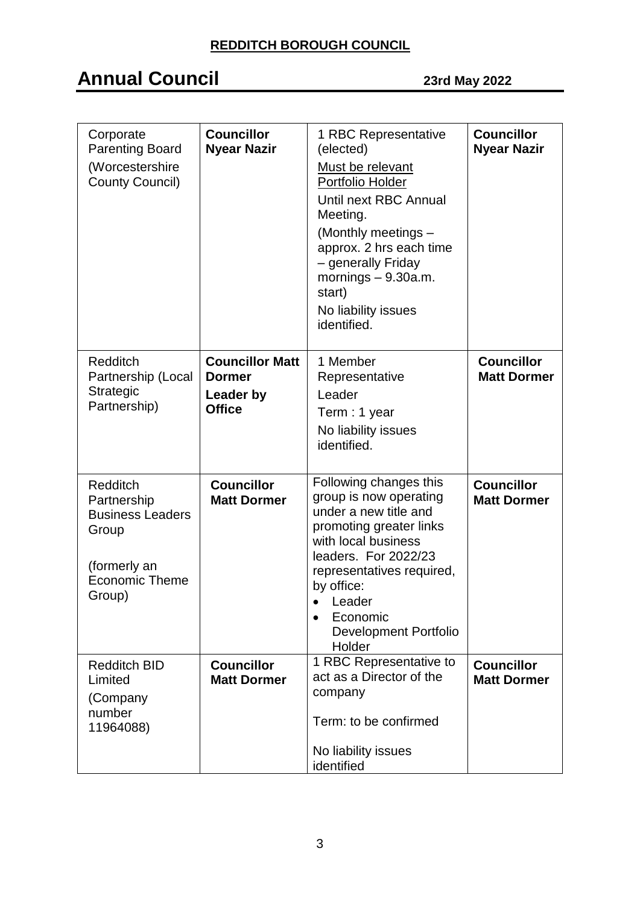| Corporate<br><b>Parenting Board</b><br>(Worcestershire<br><b>County Council)</b>                                      | <b>Councillor</b><br><b>Nyear Nazir</b>                                      | 1 RBC Representative<br>(elected)<br>Must be relevant<br>Portfolio Holder<br>Until next RBC Annual<br>Meeting.<br>(Monthly meetings -<br>approx. 2 hrs each time<br>- generally Friday<br>mornings $-9.30a.m.$<br>start)<br>No liability issues<br>identified. | <b>Councillor</b><br><b>Nyear Nazir</b> |
|-----------------------------------------------------------------------------------------------------------------------|------------------------------------------------------------------------------|----------------------------------------------------------------------------------------------------------------------------------------------------------------------------------------------------------------------------------------------------------------|-----------------------------------------|
| <b>Redditch</b><br>Partnership (Local<br><b>Strategic</b><br>Partnership)                                             | <b>Councillor Matt</b><br><b>Dormer</b><br><b>Leader by</b><br><b>Office</b> | 1 Member<br>Representative<br>Leader<br>Term: 1 year<br>No liability issues<br>identified.                                                                                                                                                                     | <b>Councillor</b><br><b>Matt Dormer</b> |
| <b>Redditch</b><br>Partnership<br><b>Business Leaders</b><br>Group<br>(formerly an<br><b>Economic Theme</b><br>Group) | <b>Councillor</b><br><b>Matt Dormer</b>                                      | Following changes this<br>group is now operating<br>under a new title and<br>promoting greater links<br>with local business<br>leaders. For 2022/23<br>representatives required,<br>by office:<br>Leader<br>Economic<br><b>Development Portfolio</b><br>Holder | <b>Councillor</b><br><b>Matt Dormer</b> |
| <b>Redditch BID</b><br>Limited<br>(Company<br>number<br>11964088)                                                     | <b>Councillor</b><br><b>Matt Dormer</b>                                      | 1 RBC Representative to<br>act as a Director of the<br>company<br>Term: to be confirmed<br>No liability issues<br>identified                                                                                                                                   | <b>Councillor</b><br><b>Matt Dormer</b> |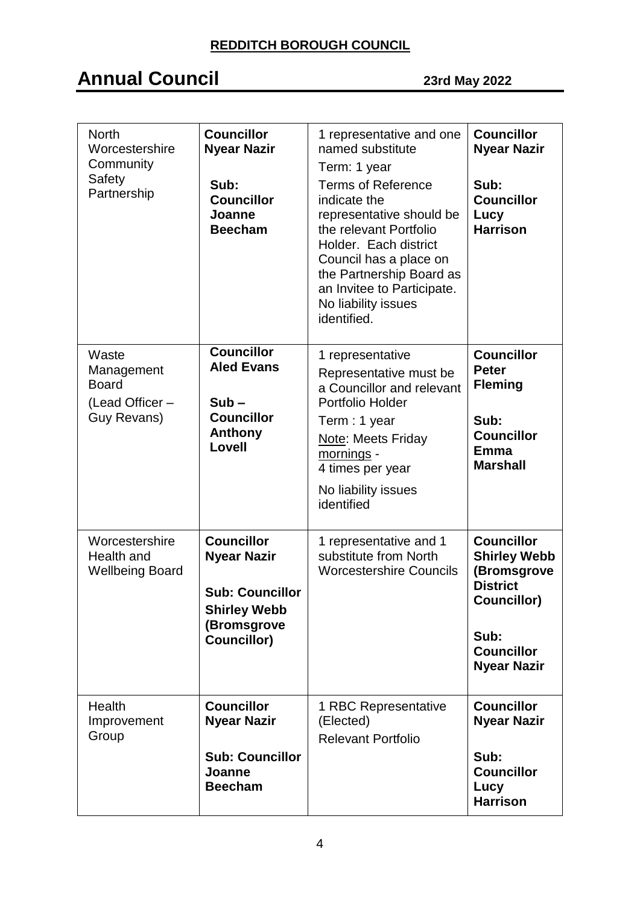| <b>North</b><br>Worcestershire<br>Community<br>Safety<br>Partnership  | <b>Councillor</b><br><b>Nyear Nazir</b><br>Sub:<br><b>Councillor</b><br>Joanne<br><b>Beecham</b>                       | 1 representative and one<br>named substitute<br>Term: 1 year<br><b>Terms of Reference</b><br>indicate the<br>representative should be<br>the relevant Portfolio<br>Holder. Each district<br>Council has a place on<br>the Partnership Board as<br>an Invitee to Participate.<br>No liability issues<br>identified. | <b>Councillor</b><br><b>Nyear Nazir</b><br>Sub:<br><b>Councillor</b><br>Lucy<br><b>Harrison</b>                                                     |
|-----------------------------------------------------------------------|------------------------------------------------------------------------------------------------------------------------|--------------------------------------------------------------------------------------------------------------------------------------------------------------------------------------------------------------------------------------------------------------------------------------------------------------------|-----------------------------------------------------------------------------------------------------------------------------------------------------|
| Waste<br>Management<br><b>Board</b><br>(Lead Officer -<br>Guy Revans) | <b>Councillor</b><br><b>Aled Evans</b><br>$Sub -$<br><b>Councillor</b><br>Anthony<br>Lovell                            | 1 representative<br>Representative must be<br>a Councillor and relevant<br>Portfolio Holder<br>Term: 1 year<br>Note: Meets Friday<br>mornings -<br>4 times per year<br>No liability issues<br>identified                                                                                                           | <b>Councillor</b><br><b>Peter</b><br><b>Fleming</b><br>Sub:<br><b>Councillor</b><br>Emma<br><b>Marshall</b>                                         |
| Worcestershire<br>Health and<br><b>Wellbeing Board</b>                | <b>Councillor</b><br><b>Nyear Nazir</b><br><b>Sub: Councillor</b><br><b>Shirley Webb</b><br>(Bromsgrove<br>Councillor) | 1 representative and 1<br>substitute from North<br><b>Worcestershire Councils</b>                                                                                                                                                                                                                                  | <b>Councillor</b><br><b>Shirley Webb</b><br>(Bromsgrove<br><b>District</b><br><b>Councillor)</b><br>Sub:<br><b>Councillor</b><br><b>Nyear Nazir</b> |
| <b>Health</b><br>Improvement<br>Group                                 | <b>Councillor</b><br><b>Nyear Nazir</b><br><b>Sub: Councillor</b><br>Joanne<br><b>Beecham</b>                          | 1 RBC Representative<br>(Elected)<br><b>Relevant Portfolio</b>                                                                                                                                                                                                                                                     | <b>Councillor</b><br><b>Nyear Nazir</b><br>Sub:<br><b>Councillor</b><br>Lucy<br><b>Harrison</b>                                                     |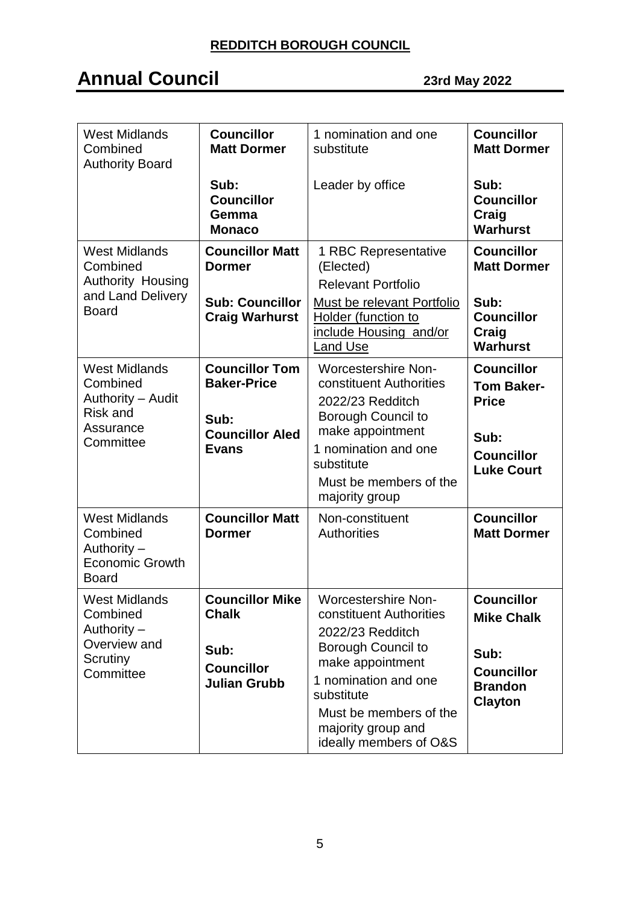| <b>West Midlands</b><br>Combined<br><b>Authority Board</b>                                         | <b>Councillor</b><br><b>Matt Dormer</b>                                                       | 1 nomination and one<br>substitute                                                                                                                                                                                                  | <b>Councillor</b><br><b>Matt Dormer</b>                                                                  |
|----------------------------------------------------------------------------------------------------|-----------------------------------------------------------------------------------------------|-------------------------------------------------------------------------------------------------------------------------------------------------------------------------------------------------------------------------------------|----------------------------------------------------------------------------------------------------------|
|                                                                                                    | Sub:<br><b>Councillor</b><br>Gemma<br><b>Monaco</b>                                           | Leader by office                                                                                                                                                                                                                    | Sub:<br><b>Councillor</b><br>Craig<br><b>Warhurst</b>                                                    |
| <b>West Midlands</b><br>Combined<br>Authority Housing<br>and Land Delivery<br><b>Board</b>         | <b>Councillor Matt</b><br><b>Dormer</b><br><b>Sub: Councillor</b><br><b>Craig Warhurst</b>    | 1 RBC Representative<br>(Elected)<br><b>Relevant Portfolio</b><br>Must be relevant Portfolio<br>Holder (function to<br>include Housing and/or<br>Land Use                                                                           | <b>Councillor</b><br><b>Matt Dormer</b><br>Sub:<br><b>Councillor</b><br>Craig<br><b>Warhurst</b>         |
| <b>West Midlands</b><br>Combined<br>Authority - Audit<br><b>Risk and</b><br>Assurance<br>Committee | <b>Councillor Tom</b><br><b>Baker-Price</b><br>Sub:<br><b>Councillor Aled</b><br><b>Evans</b> | <b>Worcestershire Non-</b><br>constituent Authorities<br>2022/23 Redditch<br>Borough Council to<br>make appointment<br>1 nomination and one<br>substitute<br>Must be members of the<br>majority group                               | <b>Councillor</b><br><b>Tom Baker-</b><br><b>Price</b><br>Sub:<br><b>Councillor</b><br><b>Luke Court</b> |
| <b>West Midlands</b><br>Combined<br>Authority -<br><b>Economic Growth</b><br><b>Board</b>          | <b>Councillor Matt</b><br><b>Dormer</b>                                                       | Non-constituent<br><b>Authorities</b>                                                                                                                                                                                               | <b>Councillor</b><br><b>Matt Dormer</b>                                                                  |
| <b>West Midlands</b><br>Combined<br>Authority $-$<br>Overview and<br>Scrutiny<br>Committee         | <b>Councillor Mike</b><br><b>Chalk</b><br>Sub:<br><b>Councillor</b><br><b>Julian Grubb</b>    | <b>Worcestershire Non-</b><br>constituent Authorities<br>2022/23 Redditch<br>Borough Council to<br>make appointment<br>1 nomination and one<br>substitute<br>Must be members of the<br>majority group and<br>ideally members of O&S | <b>Councillor</b><br><b>Mike Chalk</b><br>Sub:<br><b>Councillor</b><br><b>Brandon</b><br><b>Clayton</b>  |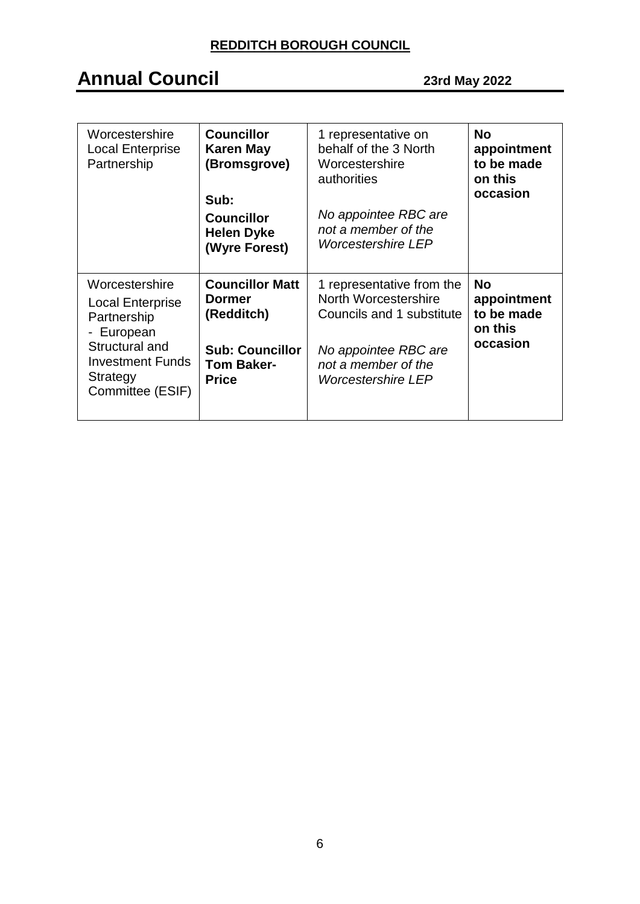| Worcestershire<br><b>Local Enterprise</b><br>Partnership                                                                                            | <b>Councillor</b><br><b>Karen May</b><br>(Bromsgrove)<br>Sub:<br><b>Councillor</b><br><b>Helen Dyke</b><br>(Wyre Forest) | 1 representative on<br>behalf of the 3 North<br>Worcestershire<br>authorities<br>No appointee RBC are<br>not a member of the<br><b>Worcestershire LEP</b>  | <b>No</b><br>appointment<br>to be made<br>on this<br>occasion |
|-----------------------------------------------------------------------------------------------------------------------------------------------------|--------------------------------------------------------------------------------------------------------------------------|------------------------------------------------------------------------------------------------------------------------------------------------------------|---------------------------------------------------------------|
| Worcestershire<br><b>Local Enterprise</b><br>Partnership<br>- European<br>Structural and<br><b>Investment Funds</b><br>Strategy<br>Committee (ESIF) | <b>Councillor Matt</b><br>Dormer<br>(Redditch)<br><b>Sub: Councillor</b><br><b>Tom Baker-</b><br><b>Price</b>            | 1 representative from the<br>North Worcestershire<br>Councils and 1 substitute<br>No appointee RBC are<br>not a member of the<br><b>Worcestershire LEP</b> | <b>No</b><br>appointment<br>to be made<br>on this<br>occasion |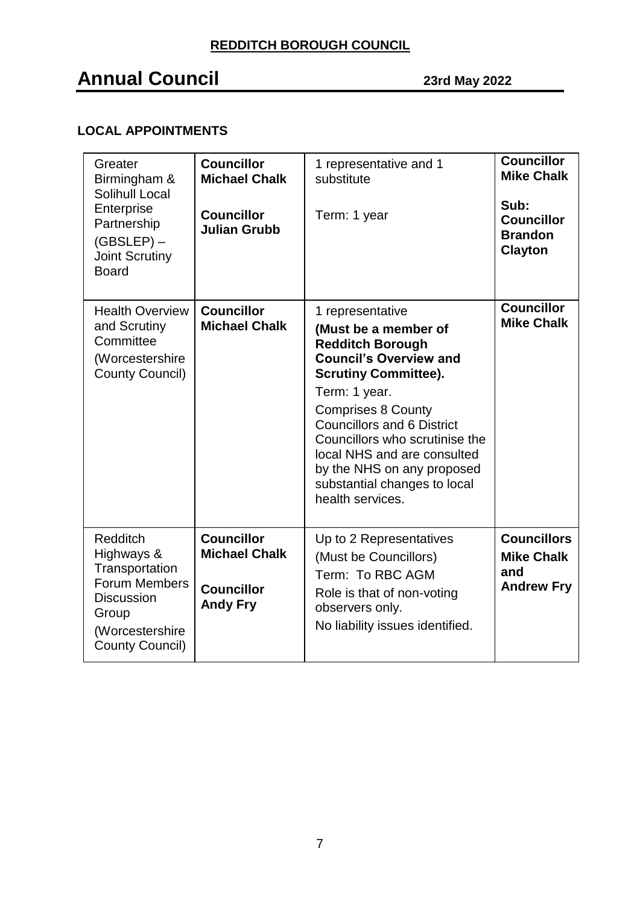## **Annual Council 23rd May <sup>2022</sup>**

### **LOCAL APPOINTMENTS**

| Greater<br>Birmingham &<br>Solihull Local<br>Enterprise<br>Partnership<br>$(GBSLEP)$ –<br><b>Joint Scrutiny</b><br><b>Board</b>             | <b>Councillor</b><br><b>Michael Chalk</b><br><b>Councillor</b><br><b>Julian Grubb</b> | 1 representative and 1<br>substitute<br>Term: 1 year                                                                                                                                                                                                                                                                                                                      | <b>Councillor</b><br><b>Mike Chalk</b><br>Sub:<br><b>Councillor</b><br><b>Brandon</b><br><b>Clayton</b> |
|---------------------------------------------------------------------------------------------------------------------------------------------|---------------------------------------------------------------------------------------|---------------------------------------------------------------------------------------------------------------------------------------------------------------------------------------------------------------------------------------------------------------------------------------------------------------------------------------------------------------------------|---------------------------------------------------------------------------------------------------------|
| <b>Health Overview</b><br>and Scrutiny<br>Committee<br>(Worcestershire<br><b>County Council)</b>                                            | <b>Councillor</b><br><b>Michael Chalk</b>                                             | 1 representative<br>(Must be a member of<br><b>Redditch Borough</b><br><b>Council's Overview and</b><br><b>Scrutiny Committee).</b><br>Term: 1 year.<br><b>Comprises 8 County</b><br><b>Councillors and 6 District</b><br>Councillors who scrutinise the<br>local NHS and are consulted<br>by the NHS on any proposed<br>substantial changes to local<br>health services. | <b>Councillor</b><br><b>Mike Chalk</b>                                                                  |
| <b>Redditch</b><br>Highways &<br>Transportation<br>Forum Members<br><b>Discussion</b><br>Group<br>(Worcestershire<br><b>County Council)</b> | <b>Councillor</b><br><b>Michael Chalk</b><br><b>Councillor</b><br><b>Andy Fry</b>     | Up to 2 Representatives<br>(Must be Councillors)<br>Term: To RBC AGM<br>Role is that of non-voting<br>observers only.<br>No liability issues identified.                                                                                                                                                                                                                  | <b>Councillors</b><br><b>Mike Chalk</b><br>and<br><b>Andrew Fry</b>                                     |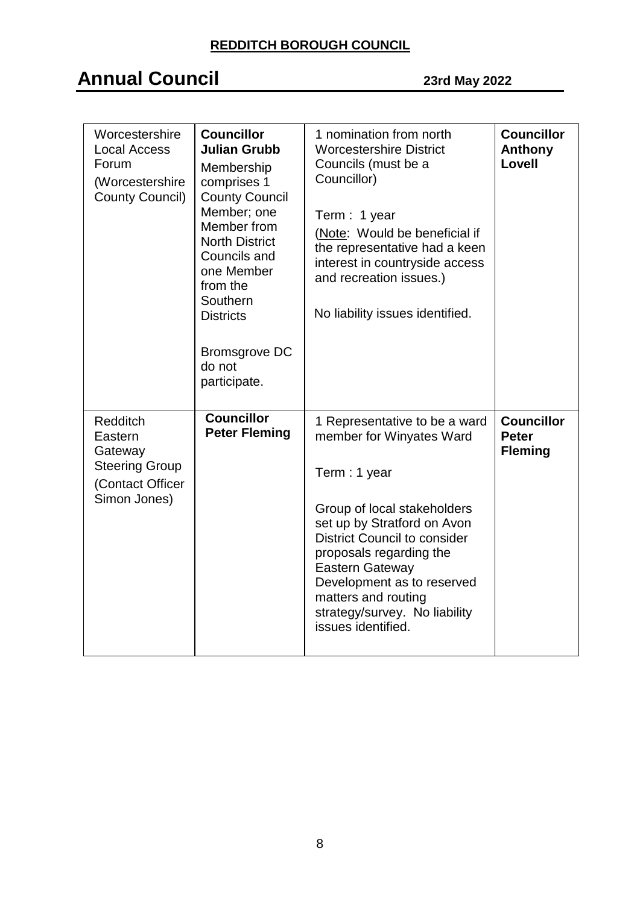| Worcestershire<br><b>Local Access</b><br>Forum<br>(Worcestershire<br><b>County Council)</b> | <b>Councillor</b><br><b>Julian Grubb</b><br>Membership<br>comprises 1<br><b>County Council</b><br>Member; one<br>Member from<br><b>North District</b><br>Councils and<br>one Member<br>from the<br>Southern<br><b>Districts</b><br><b>Bromsgrove DC</b><br>do not<br>participate. | 1 nomination from north<br><b>Worcestershire District</b><br>Councils (must be a<br>Councillor)<br>Term: 1 year<br>(Note: Would be beneficial if<br>the representative had a keen<br>interest in countryside access<br>and recreation issues.)<br>No liability issues identified.                                                               | <b>Councillor</b><br>Anthony<br>Lovell              |
|---------------------------------------------------------------------------------------------|-----------------------------------------------------------------------------------------------------------------------------------------------------------------------------------------------------------------------------------------------------------------------------------|-------------------------------------------------------------------------------------------------------------------------------------------------------------------------------------------------------------------------------------------------------------------------------------------------------------------------------------------------|-----------------------------------------------------|
| Redditch<br>Eastern<br>Gateway<br><b>Steering Group</b><br>(Contact Officer<br>Simon Jones) | <b>Councillor</b><br><b>Peter Fleming</b>                                                                                                                                                                                                                                         | 1 Representative to be a ward<br>member for Winyates Ward<br>Term: 1 year<br>Group of local stakeholders<br>set up by Stratford on Avon<br><b>District Council to consider</b><br>proposals regarding the<br><b>Eastern Gateway</b><br>Development as to reserved<br>matters and routing<br>strategy/survey. No liability<br>issues identified. | <b>Councillor</b><br><b>Peter</b><br><b>Fleming</b> |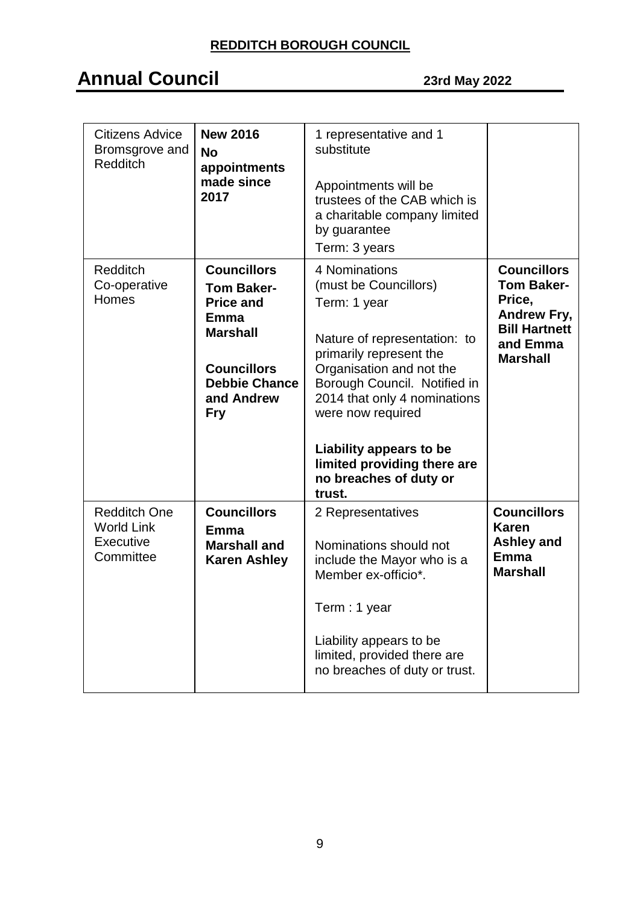| Citizens Advice<br>Bromsgrove and<br><b>Redditch</b>               | <b>New 2016</b><br><b>No</b><br>appointments<br>made since<br>2017                                                                                               | 1 representative and 1<br>substitute<br>Appointments will be<br>trustees of the CAB which is<br>a charitable company limited<br>by guarantee<br>Term: 3 years                                                                                                                                                                    |                                                                                                                                |
|--------------------------------------------------------------------|------------------------------------------------------------------------------------------------------------------------------------------------------------------|----------------------------------------------------------------------------------------------------------------------------------------------------------------------------------------------------------------------------------------------------------------------------------------------------------------------------------|--------------------------------------------------------------------------------------------------------------------------------|
| <b>Redditch</b><br>Co-operative<br>Homes                           | <b>Councillors</b><br><b>Tom Baker-</b><br><b>Price and</b><br>Emma<br><b>Marshall</b><br><b>Councillors</b><br><b>Debbie Chance</b><br>and Andrew<br><b>Fry</b> | 4 Nominations<br>(must be Councillors)<br>Term: 1 year<br>Nature of representation: to<br>primarily represent the<br>Organisation and not the<br>Borough Council. Notified in<br>2014 that only 4 nominations<br>were now required<br>Liability appears to be<br>limited providing there are<br>no breaches of duty or<br>trust. | <b>Councillors</b><br><b>Tom Baker-</b><br>Price,<br><b>Andrew Fry,</b><br><b>Bill Hartnett</b><br>and Emma<br><b>Marshall</b> |
| <b>Redditch One</b><br><b>World Link</b><br>Executive<br>Committee | <b>Councillors</b><br>Emma<br><b>Marshall and</b><br><b>Karen Ashley</b>                                                                                         | 2 Representatives<br>Nominations should not<br>include the Mayor who is a<br>Member ex-officio*.<br>Term: 1 year<br>Liability appears to be<br>limited, provided there are<br>no breaches of duty or trust.                                                                                                                      | <b>Councillors</b><br><b>Karen</b><br><b>Ashley and</b><br><b>Emma</b><br><b>Marshall</b>                                      |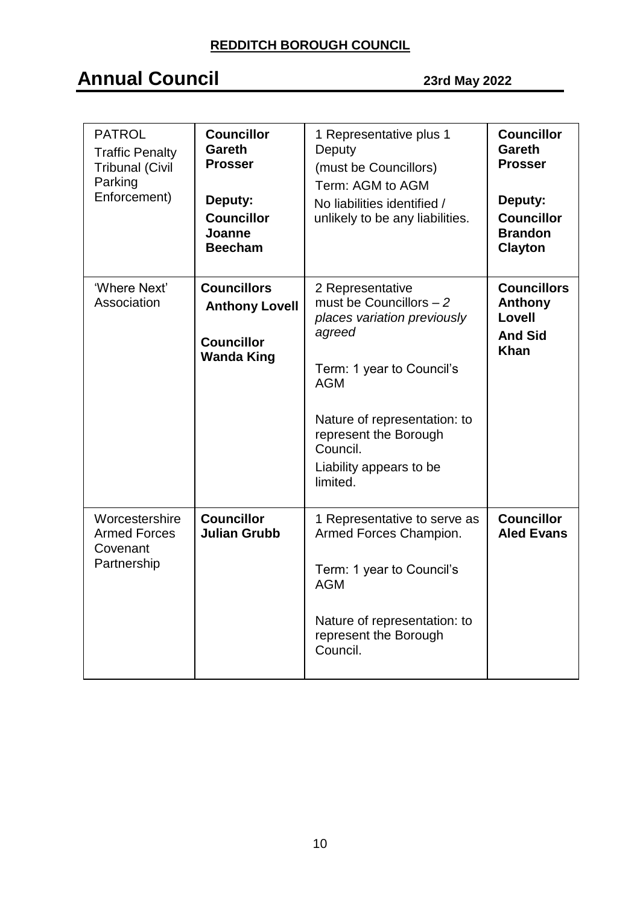| <b>PATROL</b><br><b>Traffic Penalty</b><br><b>Tribunal (Civil</b><br>Parking<br>Enforcement) | <b>Councillor</b><br><b>Gareth</b><br><b>Prosser</b><br>Deputy:<br><b>Councillor</b><br>Joanne<br><b>Beecham</b> | 1 Representative plus 1<br>Deputy<br>(must be Councillors)<br>Term: AGM to AGM<br>No liabilities identified /<br>unlikely to be any liabilities.                                                                                             | <b>Councillor</b><br><b>Gareth</b><br><b>Prosser</b><br>Deputy:<br><b>Councillor</b><br><b>Brandon</b><br>Clayton |
|----------------------------------------------------------------------------------------------|------------------------------------------------------------------------------------------------------------------|----------------------------------------------------------------------------------------------------------------------------------------------------------------------------------------------------------------------------------------------|-------------------------------------------------------------------------------------------------------------------|
| 'Where Next'<br>Association                                                                  | <b>Councillors</b><br><b>Anthony Lovell</b><br><b>Councillor</b><br><b>Wanda King</b>                            | 2 Representative<br>must be Councillors $-2$<br>places variation previously<br>agreed<br>Term: 1 year to Council's<br><b>AGM</b><br>Nature of representation: to<br>represent the Borough<br>Council.<br>Liability appears to be<br>limited. | <b>Councillors</b><br>Anthony<br>Lovell<br><b>And Sid</b><br><b>Khan</b>                                          |
| Worcestershire<br><b>Armed Forces</b><br>Covenant<br>Partnership                             | <b>Councillor</b><br><b>Julian Grubb</b>                                                                         | 1 Representative to serve as<br>Armed Forces Champion.<br>Term: 1 year to Council's<br><b>AGM</b><br>Nature of representation: to<br>represent the Borough<br>Council.                                                                       | <b>Councillor</b><br><b>Aled Evans</b>                                                                            |